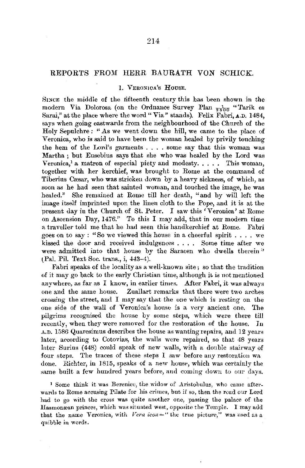## REPORTS FROM HERR BAURATH VON SCHICK.

### I. VERONICA'S HousE.

SrncE the middle of the fifteenth century this has been shown in the modern Via Dolorosa (on the Ordnance Survey Plan  $\frac{1}{2500}$  "Tarik es Sarai," at the place where the word" Via" stands). Felix Fabri, **A,D.** 1484, says when going eastwards from the neighbourhood of the Church of the Holy Sepulchre : "As we went down the hill, we came to the place of Veronica, who is said to have been the woman healed by privily touching the hem of the Lord's garments . . . . some say that this woman was Martha ; but Eusebius says that she who was healed by the Lord was Veronica,<sup>1</sup> a matron of especial piety and modesty..... This woman, together with her kerchief, was brought to Rome at the command of Tiberius Cæsar, who was stricken down by a heavy sickness, of which, as soon as he had seen that sainted woman, and touched the image, he was healed." She remained at Rome till her death, "and by will left the image itself imprinted upon the linen cloth to the Pope, and it is at the present day in the Church of St. Peter. I saw this 'Veronica' at Rome on Ascension Day, 1476." To this I may add, that in our modern time a traveller told me that he had seen this handkerchief at Rome. Fabri goes on to say : "So we viewed this house in a cheerful spirit .... we kissed the door and received indulgences . . . . Some time after we were admitted into that house by the Saracen who dwells therein" (Pal. Pil. Text Soc. trans., i, 443-4).

Fabri speaks of the locality as a well-known site; so that the tradition of it may go back to the early Christian time, although it is not mentioned anywhere, as far as I know, in earlier times. After Fabri, it was always one and the same house. Zuallart remarks that there were two arches crossing the street, and I may say that the one which is resting on the one side of the wall of Veronica's house is a very ancient one. The pilgrims recognised the house by some steps, which were there till recently, when they were removed for the restoration of the house. Jn A.D. 1586 Quaresimus describes the house as wanting repairs, and 12 years later, according to Cotovias, the walls were repaired, so that 48 years later Surius (448) conld speak of new walls, with a double stairway of four steps. The traces of these steps I saw before any restoration wa done. Richter, in 1815, speaks of a new house, which was certainly the same built a few hundred years before, and coming down to our days.

1 Some think it was Berenice, the widow of Aristobulus, who came afterwards to Rome accusing Pilate for his crimes, but if so, then the road our Lord had to go with the cross was quite another one, passing the palace of the Hasmonrean princes, which was situated west, opposite the Temple. I may add that the name Veronica, with *Vera icon*=" the true picture," was used as a quibble in words.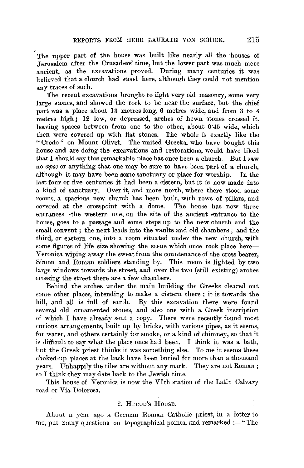The upper part of the house was built like nearly all the houses of Jerusalem after the Crusaders' time, but the lower part was much more ancient, as the excavations proved. During many centuries it was believed that a church had stood here, although they could not mention any traces of such.

The recent excavations brought to light very old masonry, some very large stones, and showed the rock to be near the surface, but the chief part was a place about 13 metres long, 6 metres wide, and from 3 to 4 metres high; 12 low, or depressed, arches of hewn stones crossed it, leaving spaces between from one to the other, about 0·45 wide, which then were covered up with flat stones. The whole is exactly like the " Credo " on Mount Olivet. The united Greeks, who have bought this house and are doing the excavations and restorations, would have liked that I should say this remarkable place has once been a church. But I saw no *apse* or anything that one may be sure to have been part of a church, although it may have been some sanctuary or place for worship. In the last four or five centuries it had been a cistern, hut it is now made into a kind of sanctuary. Over it, and more north, where there stood some rooms, a spacious new church has been built, with rows of pillars, and covered at the crosspoint with a dome. The house has now three entrances-the western one, on the site of the ancient entrance to the house, goes to a passage and some steps up to the new church and the small convent; the next leads into the vaults and old chambers; and the third, or eastern one, into a room situated under the new church, with some figures of life size showing the scene which once took place here-Veronica wiping away the sweat from the countenance of the cross bearer, Simon and Roman soldiers standing by. This room is lighted by two large windows towards the street, and over the two (still existing) arches crossing the street there are a few chambers.

Behind the arches under the main building the Greeks cleared out some other places, intending to make a cistern there ; it is towards the hill, and all is full of earth. By this excavation there were found several old ornamented stones, and also one with a Greek inscription of which I have already sent a copy. There were recently found most curious arrangements, built up by bricks, with various pipes, as it seems, for water, and others certainly for smoke, or a kind of chimney, so that it is difficult to say what the place once had been. I think it was a bath, but the Greek priest thinks it was something else. To me it seems these choked-up places at the back have been buried for more than a thousand years. Unhappily the tiles are without any mark. They are not Roman; so I think they may date back to the Jewish time.

This house of Veronica is now the VIth station of the Latin Calvary road or Via Dolorosa.

### 2. HEROD'S HousE.

About a year ago a German Roman Catholic priest, in a letter to me, put many questions on topographical points, and remarked  $:$  -  $\lq$  The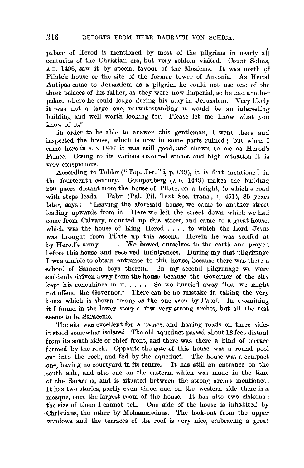palace of Herod is mentioned by most of the pilgrims in nearly all centuries of the Christian era, but very seldom visited. Count Solms, A.D. 1496, saw it by special favour of the Moslems. It was north of Pilate's house or the site of the former tower of Antonia. As Herod Antipas came to Jerusalem as a pilgrim, he could not use one of the three palaces of his father, as they were now Imperial, so he had another palace where he could lodge during his stay in Jerusalem. Very likely it was not a large one, notwithstanding it would be an interesting building and well worth looking for. Please let me know what you know of it.''

In order to be able to answer this gentleman, I went there and inspected the house, which is now in some parts ruined ; but when I came here in A.D. 1846 it was still good, and shown to me as Herod's Palace. Owing to its various coloured stones and high situation it is very conspicuous.

According to Tobler(" Top. Jer.," i, p. 649), it is first mentioned in the fourteenth century. Gumpenberg (A.D. 1449) makes the building *200* paces distant from the house of Pilate, on a height, to which a road Fabri (Pal. Pil. Text Soc. trans., i, 451), 35 years later, says  $:$  -" Leaving the aforesaid house, we came to another street leading upwards from it. Here we left the street down which we had come from Calvary, mounted up this street, and came to a great house, which was the house of King Herod .... to which the Lord Jesus was brought from Pilate up this ascent. Herein he was scoffed at by Herod's army . . . . We bowed ourselves to the earth and prayed before this house and received indulgences. During my first pilgrimage I was unable to obtain entrance to this house, because there was there a school of Saracen boys therein. In my second pilgrimage we were In my second pilgrimage we were suddenly driven away from the house because the Governor of the city kept his concubines in it..... So we hurried away that we might not offend the Governor." There can be no mistake in taking the very house which is shown to-day as the one seen by Fabri. In examining it I found in the lower story a few very strong arches, but all the rest ,seems to be Saracenic.

The site was excellent for a palace, and having roads on three sides it stood somewhat isolated. The old aqueduct passed about 12 feet distant from its south side or chief front, and there was there a kind of terrace formed by the rock. Opposite the gate of this house was a round pool .cut into the rock, and fed by the aqueduct. The house was a compact ,one, having no courtyard in its centre. It has still an entrance on the sonth side, and also one on the eastern, which was made in the time of the Saracens, and is situated between the strong arches mentioned. It has two stories, partly even three, and on the western side there is a mosque, once the largest room of the house. It has also two cisterns ; the size of them I cannot tell. One side of the house is inhabited by -Christians, the other by Mohammedans. The look-out from the upper .. windows and the terraces of the roof is very nice, embracing a great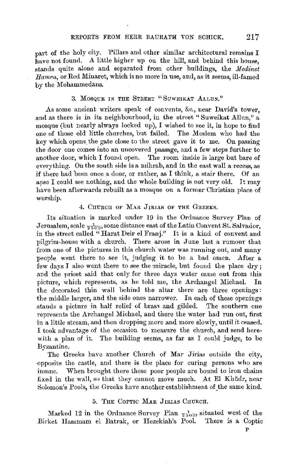part of the holy city. Pillars and other similar architectural remains I have not found. A little higher up on the hill, and behind this house. stands quite alone and separated from other buildings, the *llfedinet Hamra,* or Red Minaret, which is no more in use, and, as it seems, ill-famed by the Mohammedans.

#### 3. MOSQUE IN THE STREET "SUWEIKAT ALLUN."

As some ancient writers speak of convents, &c., near David's tower, and as there is in its neighbourhood, in the street "Suweikat Alhm," a mosque (but nearly always locked up), I wished to see it, in hope to find one of those old little churches, but failed. The Moslem who had the key which opens. the gate close to the street gave it to me. On passing the door one comes into an uncovered passage, and a few steps further to another door, which I found open. The room inside is large but bare of everything. On the south side is a mihrab, and in the east wall a recess, as if there had been once a door, or rather, as I think, a stair there. Of an apse I could see nothing, and the whole building is not very old. It may have been afterwards rebuilt as a mosque on a former Christian place of worship.

4. CHURCH OF MAR JIRIAS OF THE GREEKS.

Its situation is marked under 19 in the Ordnance Survey Plan of Jerusalem, scale  $\frac{1}{2500}$ , some distance east of the Latin Convent St. Salvador, in the street called "Harat Deir el Franj." It is a kind of convent and pilgrim-house with a church. There arose in June last a rumour that from one of the pictures in this church water was running out, and many people went there to see it, judging it to be a bad omen. After a few days I also went there to see the miracle, but found the place dry; and the priest said that only for three days water came out from this picture, which represents, as he told me, the Archangel Michael. In the decorated thin wall behind the altar there are three openings: the middle larger, and the side ones narrower. In each of these openings stands a picture in half relief of brass and gilded. The southern one represents the Archangel Michael, and there the water had run out, first in a little stream, and then dropping more and more slowly, until it ceased. I took advantage of the occasion to measure the church, and send herewith a plan of it. The building seems, as far as I could judge, to be Byzantine.

The Greeks have another Church of Mar Jirias outside the city, opposite the castle, and there is the place for curing persons who are insane. When brought there these poor people are bound to iron chains fixed in the wall, so that they cannot move much. At El Khudr, near Solomon's Pools, the Greeks have another establishment of\_the same kind.

#### 5. THE COPTIC MAR JIRIAS CHURCH.

Marked 12 in the Ordnance Survey Plan  $\frac{1}{2.500}$ , situated west of the Birket Hammam el Batrak, or Hezekiah's Pool. There is a Coptic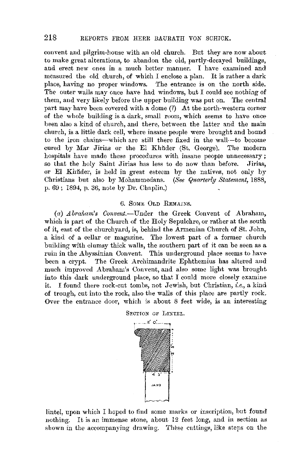convent and pilgrim-house with an old church. But they are now about to make great alterations, to abandon the old, partly-decayed buildings, and erect new ones in a much better manner. I have examined and measured the old church, of which I enclose a plan. It is rather a dark place, having no proper windows. The entrance is on the north side. The outer walls may ouce have had windows, but I could see nothing of them, and very likely before the upper building was put on. The central part may have been covered with a dome (?) At the north-western corner of the whole building is a dark, small room, which seems to have once been also a kind of church, and there, between the latter and the main church, is a little dark cell, where insane people were brought and bound to the iron chains-which are still there fixed in the wall--to become cured by Mar Jirias or the El Khŭder (St. George). The modern hospitals have made these procedures with insane people unnecessary; so that the holy Saint Jirias has less to do now than before. Jirias, or El Khuder, is held in great esteem by the natives, not only by Christians but also by Mohammedans. *(See Quarterly Statement*, 1888, p. 69 ; 1894, p. 36, note by Dr. Chaplin.)

#### 6. SOMB OLD REMAINS.

(a) *Abraham's Convent.*-Under the Greek Convent of Abraham, which is part of the Church of the Holy Sepulchre, or rather at the south of it, east of the churchyard, is, behind the Armenian Church of St. John, a kind of a cellar or magazine. The lowest part of a former church building with clumsy thick walls, the southern part of it can be seen as a ruin in the Abyssinian Convent. This underground place seems to have been a crypt. The Greek Archimandrite Ephthemius has altered aud much improved Abraham's Convent, and also some light was brought into this dark underground place, so that I could more closely examine it. I found there rock-cut tombs, not Jewish, but Christian, *i.e.,* a kind of trough, cut into the rock, also the walls of this place are partly rock. Over the entrance door, which is about 8 feet wide, is an interesting



lintel, upon which I hoped to fiud some marks or inscription, hut found nothing. It is an immense stone, about 12 feet long, and in section as shown in the accompanying drawing. These cuttings, like steps on the